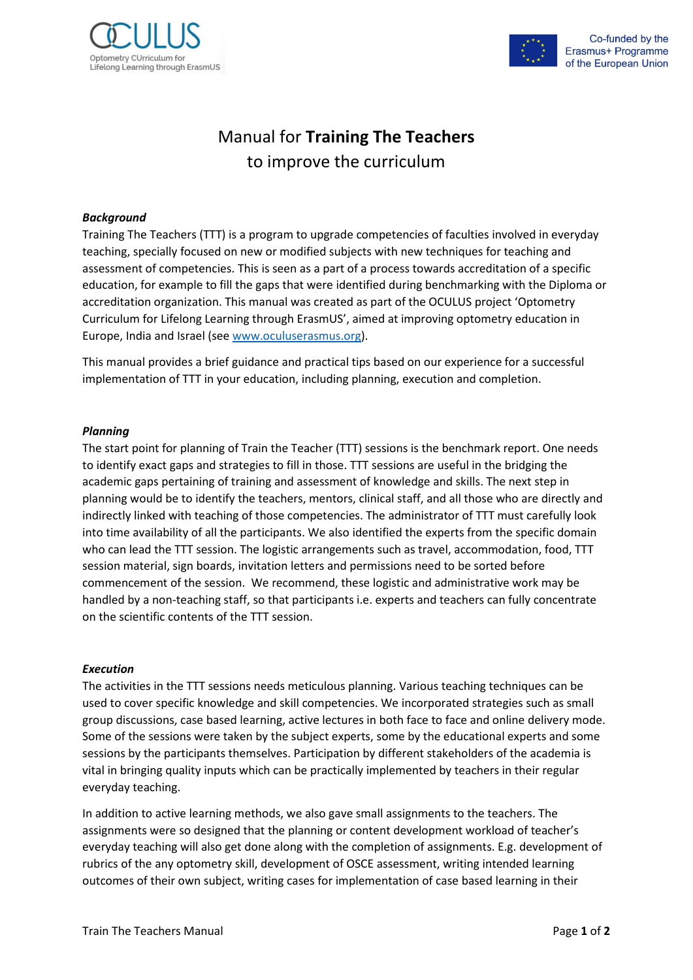



# Manual for **Training The Teachers** to improve the curriculum

## *Background*

Training The Teachers (TTT) is a program to upgrade competencies of faculties involved in everyday teaching, specially focused on new or modified subjects with new techniques for teaching and assessment of competencies. This is seen as a part of a process towards accreditation of a specific education, for example to fill the gaps that were identified during benchmarking with the Diploma or accreditation organization. This manual was created as part of the OCULUS project 'Optometry Curriculum for Lifelong Learning through ErasmUS', aimed at improving optometry education in Europe, India and Israel (see [www.oculuserasmus.org\)](http://www.oculuserasmus.org/).

This manual provides a brief guidance and practical tips based on our experience for a successful implementation of TTT in your education, including planning, execution and completion.

### *Planning*

The start point for planning of Train the Teacher (TTT) sessions is the benchmark report. One needs to identify exact gaps and strategies to fill in those. TTT sessions are useful in the bridging the academic gaps pertaining of training and assessment of knowledge and skills. The next step in planning would be to identify the teachers, mentors, clinical staff, and all those who are directly and indirectly linked with teaching of those competencies. The administrator of TTT must carefully look into time availability of all the participants. We also identified the experts from the specific domain who can lead the TTT session. The logistic arrangements such as travel, accommodation, food, TTT session material, sign boards, invitation letters and permissions need to be sorted before commencement of the session. We recommend, these logistic and administrative work may be handled by a non-teaching staff, so that participants i.e. experts and teachers can fully concentrate on the scientific contents of the TTT session.

### *Execution*

The activities in the TTT sessions needs meticulous planning. Various teaching techniques can be used to cover specific knowledge and skill competencies. We incorporated strategies such as small group discussions, case based learning, active lectures in both face to face and online delivery mode. Some of the sessions were taken by the subject experts, some by the educational experts and some sessions by the participants themselves. Participation by different stakeholders of the academia is vital in bringing quality inputs which can be practically implemented by teachers in their regular everyday teaching.

In addition to active learning methods, we also gave small assignments to the teachers. The assignments were so designed that the planning or content development workload of teacher's everyday teaching will also get done along with the completion of assignments. E.g. development of rubrics of the any optometry skill, development of OSCE assessment, writing intended learning outcomes of their own subject, writing cases for implementation of case based learning in their